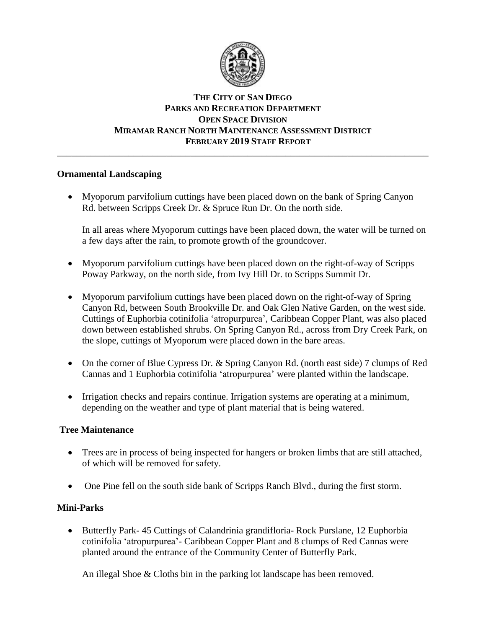

# **THE CITY OF SAN DIEGO PARKS AND RECREATION DEPARTMENT OPEN SPACE DIVISION MIRAMAR RANCH NORTH MAINTENANCE ASSESSMENT DISTRICT FEBRUARY 2019 STAFF REPORT**

\_\_\_\_\_\_\_\_\_\_\_\_\_\_\_\_\_\_\_\_\_\_\_\_\_\_\_\_\_\_\_\_\_\_\_\_\_\_\_\_\_\_\_\_\_\_\_\_\_\_\_\_\_\_\_\_\_\_\_\_\_\_\_\_\_\_\_\_\_\_\_\_\_\_\_\_\_\_

## **Ornamental Landscaping**

• Myoporum parvifolium cuttings have been placed down on the bank of Spring Canyon Rd. between Scripps Creek Dr. & Spruce Run Dr. On the north side.

In all areas where Myoporum cuttings have been placed down, the water will be turned on a few days after the rain, to promote growth of the groundcover.

- Myoporum parvifolium cuttings have been placed down on the right-of-way of Scripps Poway Parkway, on the north side, from Ivy Hill Dr. to Scripps Summit Dr.
- Myoporum parvifolium cuttings have been placed down on the right-of-way of Spring Canyon Rd, between South Brookville Dr. and Oak Glen Native Garden, on the west side. Cuttings of Euphorbia cotinifolia 'atropurpurea', Caribbean Copper Plant, was also placed down between established shrubs. On Spring Canyon Rd., across from Dry Creek Park, on the slope, cuttings of Myoporum were placed down in the bare areas.
- On the corner of Blue Cypress Dr. & Spring Canyon Rd. (north east side) 7 clumps of Red Cannas and 1 Euphorbia cotinifolia 'atropurpurea' were planted within the landscape.
- Irrigation checks and repairs continue. Irrigation systems are operating at a minimum, depending on the weather and type of plant material that is being watered.

## **Tree Maintenance**

- Trees are in process of being inspected for hangers or broken limbs that are still attached, of which will be removed for safety.
- One Pine fell on the south side bank of Scripps Ranch Blvd., during the first storm.

## **Mini-Parks**

• Butterfly Park- 45 Cuttings of Calandrinia grandifloria- Rock Purslane, 12 Euphorbia cotinifolia 'atropurpurea'- Caribbean Copper Plant and 8 clumps of Red Cannas were planted around the entrance of the Community Center of Butterfly Park.

An illegal Shoe & Cloths bin in the parking lot landscape has been removed.